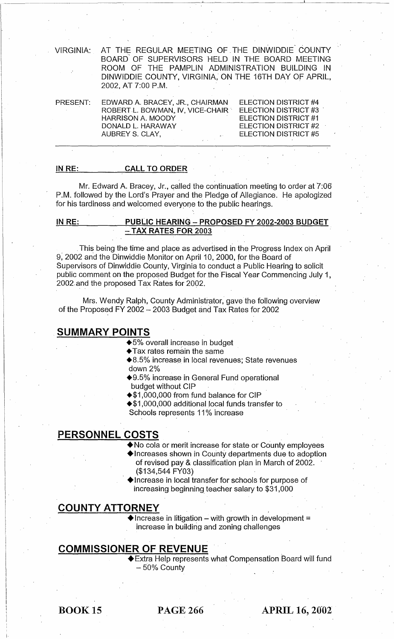. . VIRGINIA: AT THE REGULAR MEETING OF. THE DINWIDDIE COUNTY BOARD' OF SUPERVISORS HELD IN THE BOARD MEETING ROOM OF THE PAMPLIN ADMINISTRATION BUILDING IN DINWIDDIE COUNTY, VIRGINIA, ON THE 16TH DAY OF APRIL, 2002, AT 7:00 P.M.

PRESENT: EDWARD A. BRACEY, JR., CHAIRMAN ROBERT L. BOWMAN, IV, VICE-CHAIR HARRISON A. MOODY DONALD L. HARAWAY AUBREY S. CLAY, ELECTION DISTRICT #4 ELECTION DISTRICT #3 . ELECTION DISTRICT #1 ELECTION DISTRICT #2 ELECTION DISTRICT #5

#### IN RE: CALL TO ORDER

Mr. Edward A. Bracey, Jr., Galled the continuation meeting to order at 7:06 P.M. followed by the Lord's Prayer and the Pledge of Allegiance. He apologized for his tardiness and welcomed everyone to the public hearings.

#### IN RE: PUBLIC HEARING - PROPOSED FY 2002-2003 BUDGET - TAX RATES FOR 2003

This being the time and place as advertised in the Progress Index on April 9; 2002 and the Dinwiddie Monitor on April 10, 2000, for the Board of Supervisors of Dinwiddie County, Virginia to conduct a Public Hearing to solicit public comment on the proposed Budget for the Fiscal Year Commencing July 1, 2002 and the proposed Tax Rates for 2002.

Mrs. Wendy Ralph, County Administrator, gave the following overview of the Proposed FY 2002 - 2003 Budget and Tax Rates for 2002

## **SUMMARY POINTS**

◆5% overall increase in budget

- $\blacklozenge$  Tax rates remain the same
- ◆8.5% increase in local revenues; State revenues down 2%
- ◆9.5% increase in General Fund operational budget without CIP
- ◆\$1,000,000 from fund balance for CIP
- ◆\$1,000,000 additional local funds transfer to Schools represents 11% increase

## **PERSONNEL COSTS**

- +No cola or merit increase for state or County employees
- +Increases shown in County departments due to adoption of revised pay & classification plan in March of 2002. (\$134,544 FY03)
- +Increase in local transfer for schools for purpose of increasing beginning. teacher salary to \$31,000

## **COUNTY ATTORNEY** ,

 $\blacklozenge$  Increase in litigation – with growth in development = increase in building and zoning challenges

### **COMMISSIONER OF REVENUE**

+Extra Help represents what Compensation Board will fund - 50% County

BOOK 15

I·

PAGE 266 APRIL 16, 2002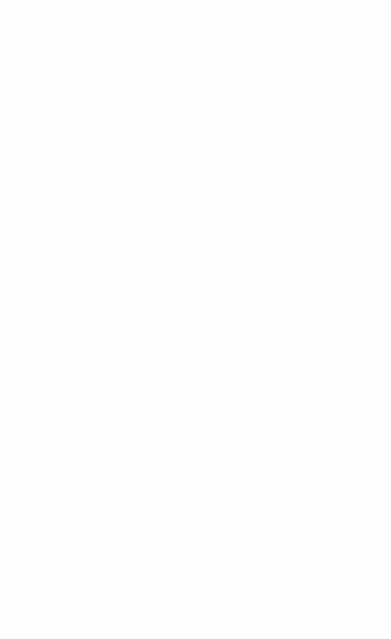$\label{eq:2.1} \frac{1}{\sqrt{2}}\int_{\mathbb{R}^3}\frac{1}{\sqrt{2}}\left(\frac{1}{\sqrt{2}}\right)^2\frac{1}{\sqrt{2}}\left(\frac{1}{\sqrt{2}}\right)^2\frac{1}{\sqrt{2}}\left(\frac{1}{\sqrt{2}}\right)^2.$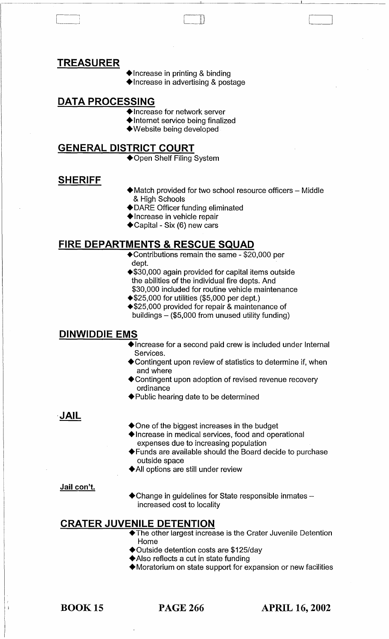## **TREASURER**

◆Increase in printing & binding  $\blacklozenge$  Increase in advertising & postage

 $\sqcup$ 

## **DATA PROCESSING**

- $\blacklozenge$  Increase for network server
- +Internet service being finalized
- $\blacklozenge$  Website being developed

## **GENERAL DISTRICT COURT**

◆Open Shelf Filing System

## **SHERIFF**

- $\blacklozenge$  Match provided for two school resource officers  $-$  Middle & High Schools
- +OARE Officer funding eliminated
- $\blacklozenge$  Increase in vehicle repair
- $\blacklozenge$  Capital Six (6) new cars

## **FIRE DEPARTMENTS & RESCUE SQUAD**

- +Contributions remain the same \$20,000 per dept.
- ◆\$30,000 again provided for capital items outside the abilities of the individual fire depts. And \$30,000 included for routine vehicle maintenance
- 
- $*525,000$  for utilities (\$5,000 per dept.)
- ◆\$25,000 provided for repair & maintenance of buildings  $-$  (\$5,000 from unused utility funding)

## **DINWIDDIE EMS**

- $\blacklozenge$  Increase for a second paid crew is included under Internal Services.
- +Contingent upon review of statistics to determine if, when and where
- ◆Contingent upon adoption of revised revenue recovery ordinance
- $\blacktriangleright$  Public hearing date to be determined

## ·JAIL

- $\triangle$ One of the biggest increases in the budget
- $\blacklozenge$  Increase in medical services, food and operational expenses due to increasing population
- $\blacklozenge$  Funds are available should the Board decide to purchase outside space
- ◆All options are still under review

#### Jail con't.

 $\blacklozenge$  Change in guidelines for State responsible inmates  $$ increased cost to locality

## **CRATER JUVENILE DETENTION**

- The other largest increase is the Crater Juvenile Detention Home
- ◆Outside detention costs are \$125/day
- +Also reflects a cut in state funding
- $\blacklozenge$  Moratorium on state support for expansion or new facilities

### BOOK 15

## PAGE 266 APRIL 16, 2002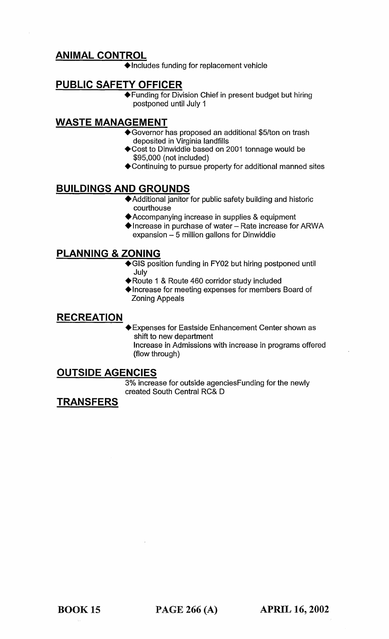# **ANIMAL CONTROL**

+Includes funding for replacement vehicle

# **PUBLIC SAFETY OFFICER**

◆Funding for Division Chief in present budget but hiring postponed until July 1

## **WASTE MANAGEMENT**

- ◆Governor has proposed an additional \$5/ton on trash deposited in Virginia landfills
- ◆Cost to Dinwiddie based on 2001 tonnage would be \$95,000 (not included)
- ◆ Continuing to pursue property for additional manned sites

## .BUILDINGS **AND GROUNDS**

- $\blacklozenge$  Additional janitor for public safety building and historic courthouse
- +Accompanying increase in supplies & equipment
- $\blacklozenge$  Increase in purchase of water  $-$  Rate increase for ARWA expansion - 5 million gallons for Dinwiddie

## **PLANNING & ZONING**

- ◆GIS position funding in FY02 but hiring postponed until July
- ◆Route 1 & Route 460 corridor study included
- ◆Increase for meeting expenses for members Board of Zoning Appeals

## **RECREATION**

◆Expenses for Eastside Enhancement Center shown as shift to new department Increase in Admissions with increase in programs offered (flow through)

## **OUTSIDE AGENCIES**

3% increase for outside agenciesFunding for the newly created South Central RC& D

## **TRANSFERS**

BOOK 15

PAGE 266 (A) APRIL 16, 2002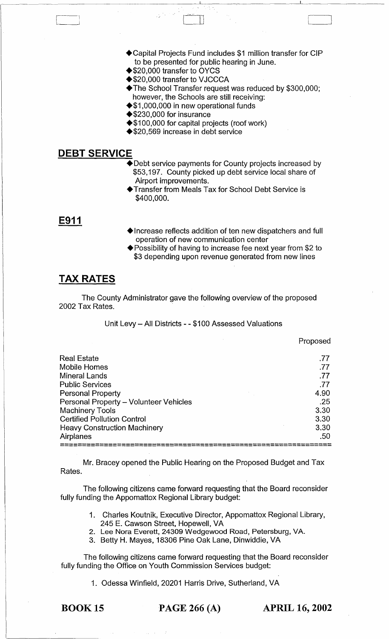- ◆Capital Projects Fund includes \$1 million transfer for CIP to be presented for public hearing in June.
- ◆\$20,000 transfer to OYCS
- ◆\$20,000 transfer to VJCCCA
- ◆ The School Transfer request was reduced by \$300,000; however, the Schools are still receiving:
- $*1,000,000$  in new operational funds
- ◆\$230,000 for insurance
- ◆\$100,000 for capital projects (roof work)

 $\sqcup$ 

◆\$20,569 increase in debt service

## DEBT SERVICE

- +Debt service payments for County projects increased by \$53,197. County picked up debt service local share of Airport improvements.
- Transfer from Meals Tax for School Debt Service is \$400,000.

#### E911

- +Increase reflects addition of ten new dispatchers and full operation of new communication center
- ◆ Possibility of having to increase fee next year from \$2 to \$3 depending upon revenue generated from new lines

## TAX RATES

The County Administrator gave the following overview of the proposed 2002 Tax Rates.

Unit Levy - All Districts - - \$100 Assessed Valuations

Proposed

| <b>Real Estate</b>                     | .77  |
|----------------------------------------|------|
| <b>Mobile Homes</b>                    | .77  |
| <b>Mineral Lands</b>                   | .77  |
| <b>Public Services</b>                 | .77  |
| <b>Personal Property</b>               | 4.90 |
| Personal Property - Volunteer Vehicles | -25  |
| <b>Machinery Tools</b>                 | 3.30 |
| <b>Certified Pollution Control</b>     | 3.30 |
| <b>Heavy Construction Machinery</b>    | 3.30 |
| Airplanes                              | .50  |
|                                        |      |
|                                        |      |

Mr. Bracey opened the Public Hearing on the Proposed Budget and Tax Rates.

The following citizens came forward requesting that the Board reconsider fully funding the Appomattox Regional Library budget:

- 1. Charles Koutnik, Executive Director, Appomattox Regional Library, 245 E. Cawson Street, Hopewell, VA
- 2. Lee Nora Everett, 24309 Wedgewood Road, Petersburg, VA.
- 3. Betty H. Mayes, 18306 Pine Oak Lane, Dinwiddie, VA

The following citizens came forward requesting that the Board reconsider fully funding the Office on Youth Commission Services budget:

1. Odessa Winfield, 20201 Harris Drive, Sutherland, VA

BOOK 15 PAGE 266 (A) APRIL 16, 2002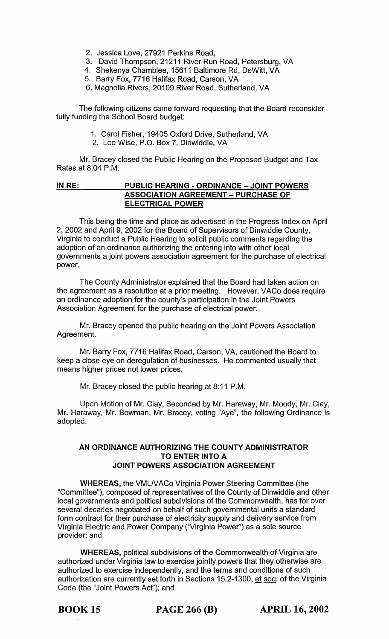- 2. Jessica Love, 27921 Perkins Road,
- 3. David Thompson, 21211 River Run Road, Petersburg, VA
- 4. Shekenya Chamblee, 15611 Baltimore Rd, DeWitt, VA
- 5. Barry Fox, 7716 Halifax Road, Carson, VA
- 6. Magnolia Rivers, 20109 River Road, Sutherland, VA

The following citizens came forward requesting that the Board reconsider fully funding the School Board budget:

- 1. Carol Fisher, 19405 Oxford Drive, Sutherland, VA
- 2. Lee Wise, P.O. Box 7, Dinwiddie, VA

Mr. Bracey closed the Public Hearing on the Proposed Budget and Tax Rates at 8:04 P.M.

#### IN RE: PUBLIC HEARING - ORDINANCE - JOINT POWERS **ASSOCIATION AGREEMENT - PURCHASE OF** ELECTRICAL POWER

This being the time and place as advertised in the Progress Index on April 2, 2002 and April 9, 2002 for the Board of Supervisors of Dinwiddie County, Virginia to conduct a Public Hearing to solicit public comments regarding the adoption of an ordinance authorizing the entering into with other local governments a joint powers association agreement for the purchase of electrical power.

The County Administrator explained that the Board had taken action on the agreement as a resolution at a prior meeting. However, VACo does require an ordinance adoption for the county's participation in the Joint Powers Association Agreement for the purchase of electrical power.

Mr. Bracey opened the public hearing on the Joint Powers Association Agreement.

Mr. Barry Fox, 7716 Halifax Road, Carson, VA, cautioned the Board to keep a close eye on deregulation of businesses. He commented usually that means higher prices not lower prices.

Mr. Bracey closed the public hearing at 8:11 P.M.

Upon Motion of Mr. Clay, Seconded by Mr. Haraway, Mr. Moody, Mr. Clay, Mr. Haraway, Mr. Bowman, Mr. Bracey, voting "Aye", the following Ordinance is adopted.

#### AN ORDINANCE AUTHORIZING THE COUNTY ADMINISTRATOR TO ENTER INTO A JOINT POWERS ASSOCIATION AGREEMENT

WHEREAS, the VML/VACo Virginia Power Steering Committee (the "Committee"), composed of representatives of the County of Dinwiddie and other local governments and political subdivisions of the Commonwealth, has for over several decades negotiated on behalf of such governmental units a standard form contract for their purchase of electricity supply and delivery service from Virginia Electric and Power Company ("Virginia Power") as a sole source provider; and

WHEREAS, political subdivisions of the Commonwealth of Virginia are authorized under Virginia law to exercise jointly powers that they otherwise are authorized to exercise independently, and the terms and conditions of such authorization are currently set forth in Sections 15.2-1300, et seq. of the Virginia Code (the "Joint Powers Act"); and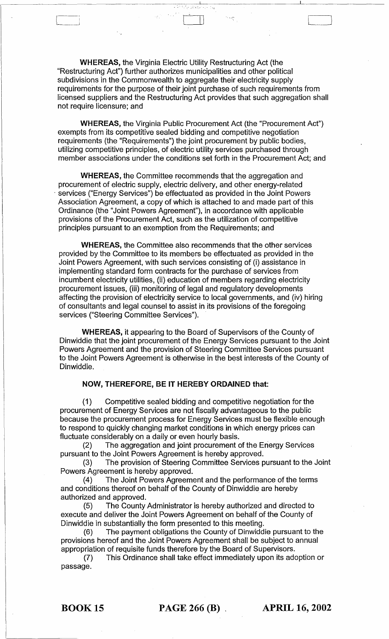**WHEREAS,** the Virginia Electric Utility Restructuring Act (the "Restructuring Act") further authorizes municipalities and other political subdivisions in the Commonwealth to aggregate their electricity supply requirements for the purpose of their joint purchase of such requirements from licensed suppliers and the Restructuring Act provides that such aggregation shall not require licensure; and

**WHEREAS,** the Virginia Public Procurement Act (the "Procurement Act") exempts from its competitive sealed bidding and competitive negotiation requirements (the "Requirements") the joint procurement by public bodies, utilizing competitive principles, of electric utility services purchased through member associations under the conditions set forth in the Procurement Act; and

**WHEREAS,** the Committee recommends that the aggregation and procurement of electric supply, electric delivery, and other energy-related . services ("Energy Services") be effectuated as provided in the Joint Powers Association Agreement, a copy of which is attached to and made part of this Ordinance (the "Joint Powers Agreement"), in accordance with applicable provisions of the Procurement Act, such as the utilization of competitive principles pursuant to an exemption from the Requirements; and

**WHEREAS,** the Committee also recommends that the other services provided by the Committee to its members be effectuated as provided in the Joint Powers Agreement, with such services consisting of (i) assistance in implementing standard form contracts for the purchase of services from incumbent electricity utilities, (ii) education of members regarding electricity procurement issues, (iii) monitoring of legal and regulatory developments affecting the provision of electricity service to local governments, and (iv) hiring of consultants and legal counsel to assist in its provisions of the foregoing services ("Steering Committee Services").

**WHEREAS,** it appearing to the Board of Supervisors of the County of Dinwiddie that the joint procurement of the Energy Services pursuant to the Joint Powers Agreement and the provision of Steering Committee Services pursuant to the Joint Powers Agreement is otherwise in the best interests of the County of Dinwiddie.

#### **NOW, THEREFORE, BE IT HEREBY ORDAINED that:**

(1) Competitive sealed bidding and competitive negotiation for the procurement of Energy Services are not fiscally advantageous to the public because the procurement process for Energy Services must be flexible enough to respond to quickly changing market conditions in which energy prices can fluctuate considerably on a daily or even hourly basis.

(2) The aggregation and joint procurement of the Energy Services pursuant to the Joint Powers Agreement is hereby approved.

(3) The provision of Steering Committee Services pursuant to the Joint Powers Agreement is hereby approved.

(4) The Joint Powers Agreement and the performance of the terms and conditions thereof on behalf of the County of Dinwiddie are hereby authorized and approved.

(5) The County Administrator is hereby authorized and directed to execute and deliver the Joint Powers Agreement on behalf of the County of Dinwiddie in substantially the form presented to this meeting.

(6) The payment obligations the County of Dinwiddie pursuant to the provisions hereof and the Joint Powers Agreement shall be subject to annual appropriation of requisite funds therefore by the Board of Supervisors.

(7) This Ordinance shall take effect immediately upon its adoption or passage.

BOOK 15 **PAGE 266 (B) . APRIL 16, 2002**